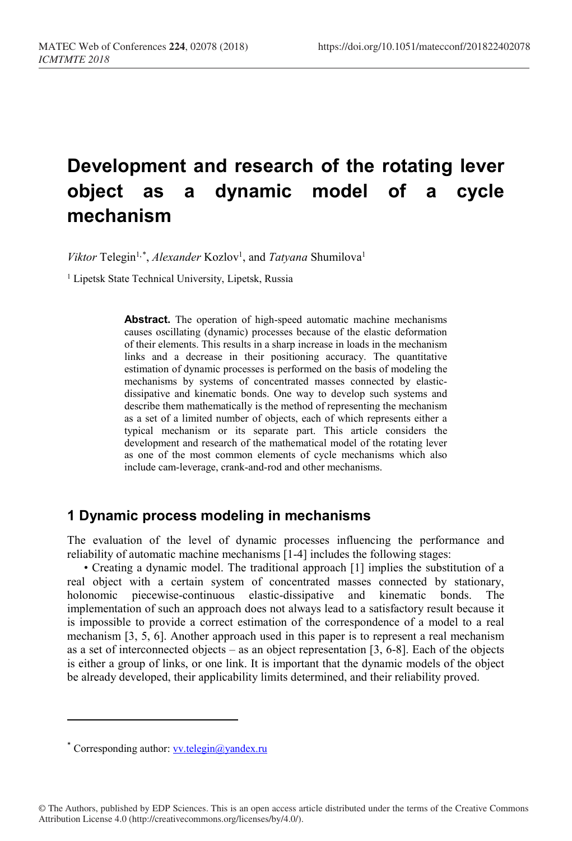# **Development and research of the rotating lever object as a dynamic model of a cycle mechanism**

Viktor Telegin<sup>1,[\\*](#page-0-0)</sup>, Alexander Kozlov<sup>1</sup>, and *Tatyana* Shumilova<sup>1</sup>

<sup>1</sup> Lipetsk State Technical University, Lipetsk, Russia

**Abstract.** The operation of high-speed automatic machine mechanisms causes oscillating (dynamic) processes because of the elastic deformation of their elements. This results in a sharp increase in loads in the mechanism links and a decrease in their positioning accuracy. The quantitative estimation of dynamic processes is performed on the basis of modeling the mechanisms by systems of concentrated masses connected by elasticdissipative and kinematic bonds. One way to develop such systems and describe them mathematically is the method of representing the mechanism as a set of a limited number of objects, each of which represents either a typical mechanism or its separate part. This article considers the development and research of the mathematical model of the rotating lever as one of the most common elements of cycle mechanisms which also include cam-leverage, crank-and-rod and other mechanisms.

## **1 Dynamic process modeling in mechanisms**

The evaluation of the level of dynamic processes influencing the performance and reliability of automatic machine mechanisms [1-4] includes the following stages:

• Creating a dynamic model. The traditional approach [1] implies the substitution of a real object with a certain system of concentrated masses connected by stationary, holonomic piecewise-continuous elastic-dissipative and kinematic bonds. The implementation of such an approach does not always lead to a satisfactory result because it is impossible to provide a correct estimation of the correspondence of a model to a real mechanism [3, 5, 6]. Another approach used in this paper is to represent a real mechanism as a set of interconnected objects – as an object representation [3, 6-8]. Each of the objects is either a group of links, or one link. It is important that the dynamic models of the object be already developed, their applicability limits determined, and their reliability proved.

l

<span id="page-0-0"></span><sup>\*</sup> Corresponding author[: vv.telegin@yandex.ru](mailto:vv.telegin@yandex.ru)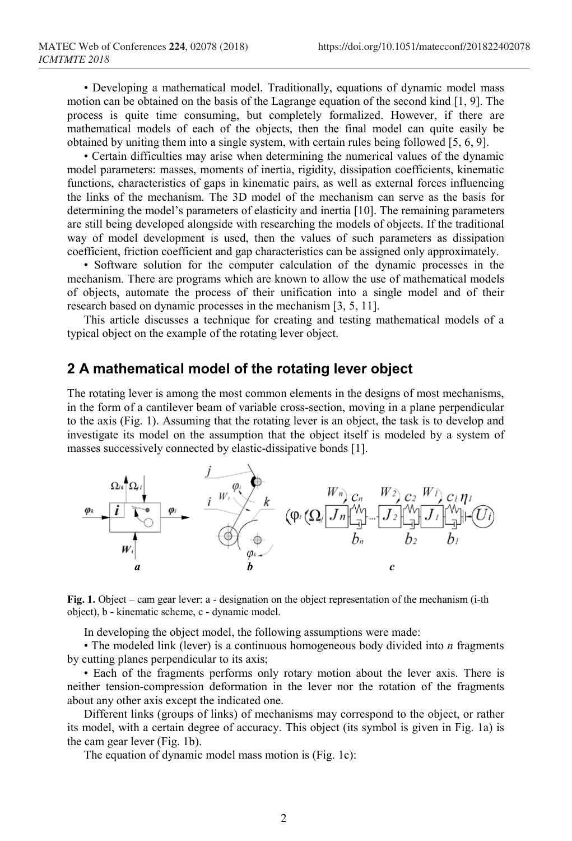• Developing a mathematical model. Traditionally, equations of dynamic model mass motion can be obtained on the basis of the Lagrange equation of the second kind [1, 9]. The process is quite time consuming, but completely formalized. However, if there are mathematical models of each of the objects, then the final model can quite easily be obtained by uniting them into a single system, with certain rules being followed [5, 6, 9].

• Certain difficulties may arise when determining the numerical values of the dynamic model parameters: masses, moments of inertia, rigidity, dissipation coefficients, kinematic functions, characteristics of gaps in kinematic pairs, as well as external forces influencing the links of the mechanism. The 3D model of the mechanism can serve as the basis for determining the model's parameters of elasticity and inertia [10]. The remaining parameters are still being developed alongside with researching the models of objects. If the traditional way of model development is used, then the values of such parameters as dissipation coefficient, friction coefficient and gap characteristics can be assigned only approximately.

• Software solution for the computer calculation of the dynamic processes in the mechanism. There are programs which are known to allow the use of mathematical models of objects, automate the process of their unification into a single model and of their research based on dynamic processes in the mechanism [3, 5, 11].

This article discusses a technique for creating and testing mathematical models of a typical object on the example of the rotating lever object.

### **2 A mathematical model of the rotating lever object**

The rotating lever is among the most common elements in the designs of most mechanisms, in the form of a cantilever beam of variable cross-section, moving in a plane perpendicular to the axis (Fig. 1). Assuming that the rotating lever is an object, the task is to develop and investigate its model on the assumption that the object itself is modeled by a system of masses successively connected by elastic-dissipative bonds [1].



**Fig. 1.** Object – cam gear lever: a - designation on the object representation of the mechanism (i-th object), b - kinematic scheme, c - dynamic model.

In developing the object model, the following assumptions were made:

• The modeled link (lever) is a continuous homogeneous body divided into *n* fragments by cutting planes perpendicular to its axis;

• Each of the fragments performs only rotary motion about the lever axis. There is neither tension-compression deformation in the lever nor the rotation of the fragments about any other axis except the indicated one.

Different links (groups of links) of mechanisms may correspond to the object, or rather its model, with a certain degree of accuracy. This object (its symbol is given in Fig. 1a) is the cam gear lever (Fig. 1b).

The equation of dynamic model mass motion is (Fig. 1c):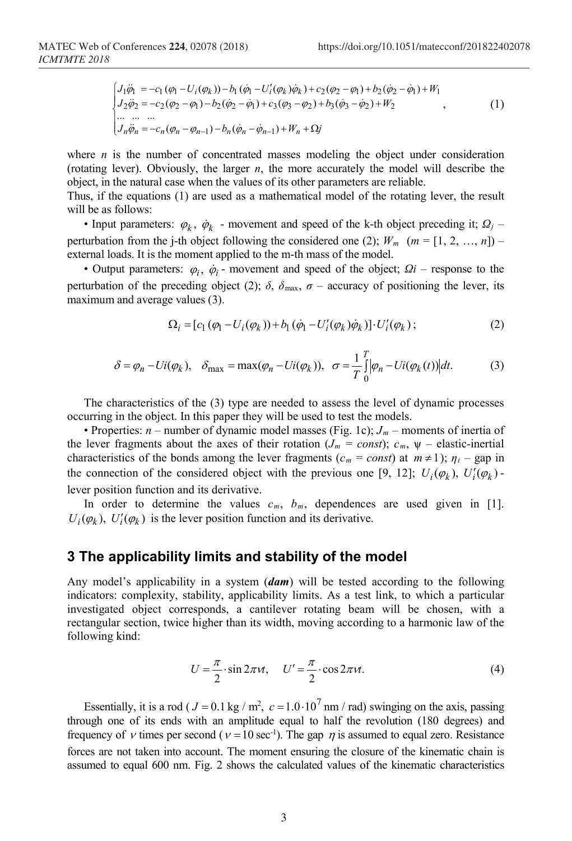$$
\begin{cases}\nJ_1 \ddot{\varphi}_1 = -c_1 (\varphi_1 - U_i (\varphi_k)) - b_1 (\dot{\varphi}_1 - U'_i (\varphi_k) \dot{\varphi}_k) + c_2 (\varphi_2 - \varphi_1) + b_2 (\dot{\varphi}_2 - \dot{\varphi}_1) + W_1 \\
J_2 \ddot{\varphi}_2 = -c_2 (\varphi_2 - \varphi_1) - b_2 (\dot{\varphi}_2 - \dot{\varphi}_1) + c_3 (\varphi_3 - \varphi_2) + b_3 (\dot{\varphi}_3 - \dot{\varphi}_2) + W_2 \\
\cdots \cdots \cdots \\
J_n \ddot{\varphi}_n = -c_n (\varphi_n - \varphi_{n-1}) - b_n (\dot{\varphi}_n - \dot{\varphi}_{n-1}) + W_n + \Omega j\n\end{cases}
$$
\n(1)

where  $n$  is the number of concentrated masses modeling the object under consideration (rotating lever). Obviously, the larger *n*, the more accurately the model will describe the object, in the natural case when the values of its other parameters are reliable.

Thus, if the equations (1) are used as a mathematical model of the rotating lever, the result will be as follows:

• Input parameters:  $\varphi_k$ ,  $\dot{\varphi}_k$  - movement and speed of the k-th object preceding it;  $\Omega_j$  – perturbation from the j-th object following the considered one (2);  $W_m$  ( $m = [1, 2, ..., n]$ ) – external loads. It is the moment applied to the m-th mass of the model.

• Output parameters:  $\varphi_i$ ,  $\dot{\varphi}_i$  - movement and speed of the object;  $\Omega_i$  – response to the perturbation of the preceding object (2);  $\delta$ ,  $\delta$ <sub>max</sub>,  $\sigma$  – accuracy of positioning the lever, its maximum and average values (3).

$$
\Omega_{i} = [c_{1}(\varphi_{1} - U_{i}(\varphi_{k})) + b_{1}(\dot{\varphi}_{1} - U'_{i}(\varphi_{k})\dot{\varphi}_{k})] \cdot U'_{i}(\varphi_{k});
$$
\n(2)

$$
\delta = \varphi_n - \text{Ui}(\varphi_k), \quad \delta_{\text{max}} = \max(\varphi_n - \text{Ui}(\varphi_k)), \quad \sigma = \frac{1}{T} \int_0^T \bigl| \varphi_n - \text{Ui}(\varphi_k(t)) \bigr| dt. \tag{3}
$$

The characteristics of the (3) type are needed to assess the level of dynamic processes occurring in the object. In this paper they will be used to test the models.

• Properties:  $n$  – number of dynamic model masses (Fig. 1c);  $J_m$  – moments of inertia of the lever fragments about the axes of their rotation ( $J_m = const$ );  $c_m$ ,  $\psi$  – elastic-inertial characteristics of the bonds among the lever fragments ( $c_m = const$ ) at  $m \ne 1$ );  $\eta_i$  – gap in the connection of the considered object with the previous one [9, 12];  $U_i(\varphi_k)$ ,  $U'_i(\varphi_k)$  lever position function and its derivative.

In order to determine the values  $c_m$ ,  $b_m$ , dependences are used given in [1].  $U_i(\varphi_k)$ ,  $U'_i(\varphi_k)$  is the lever position function and its derivative.

#### **3 The applicability limits and stability of the model**

Any model's applicability in a system (*dam*) will be tested according to the following indicators: complexity, stability, applicability limits. As a test link, to which a particular investigated object corresponds, a cantilever rotating beam will be chosen, with a rectangular section, twice higher than its width, moving according to a harmonic law of the following kind:

$$
U = \frac{\pi}{2} \cdot \sin 2\pi \nu t, \quad U' = \frac{\pi}{2} \cdot \cos 2\pi \nu t. \tag{4}
$$

Essentially, it is a rod ( $J = 0.1$  kg / m<sup>2</sup>,  $c = 1.0 \cdot 10^7$  nm / rad) swinging on the axis, passing through one of its ends with an amplitude equal to half the revolution (180 degrees) and frequency of v times per second ( $v = 10 \text{ sec}^{-1}$ ). The gap  $\eta$  is assumed to equal zero. Resistance forces are not taken into account. The moment ensuring the closure of the kinematic chain is assumed to equal 600 nm. Fig. 2 shows the calculated values of the kinematic characteristics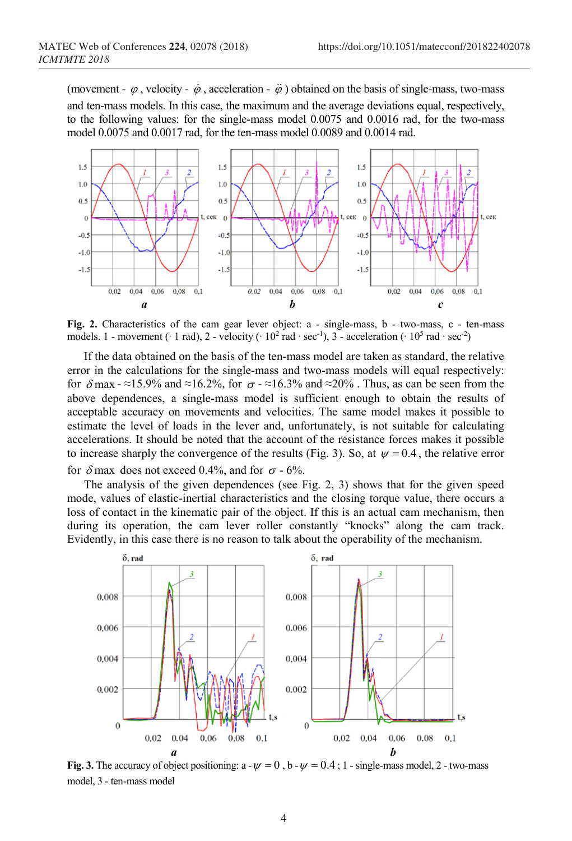(movement -  $\varphi$ , velocity -  $\dot{\varphi}$ , acceleration -  $\ddot{\varphi}$ ) obtained on the basis of single-mass, two-mass and ten-mass models. In this case, the maximum and the average deviations equal, respectively, to the following values: for the single-mass model 0.0075 and 0.0016 rad, for the two-mass model 0.0075 and 0.0017 rad, for the ten-mass model 0.0089 and 0.0014 rad.



Fig. 2. Characteristics of the cam gear lever object: a - single-mass, b - two-mass, c - ten-mass models. 1 - movement (∙ 1 rad), 2 - velocity (∙ 10<sup>2</sup> rad ∙ sec-1), 3 - acceleration (∙ 10<sup>5</sup> rad ∙ sec-2)

If the data obtained on the basis of the ten-mass model are taken as standard, the relative error in the calculations for the single-mass and two-mass models will equal respectively: for  $\delta$  max - ≈15.9% and ≈16.2%, for  $\sigma$  - ≈16.3% and ≈20%. Thus, as can be seen from the above dependences, a single-mass model is sufficient enough to obtain the results of acceptable accuracy on movements and velocities. The same model makes it possible to estimate the level of loads in the lever and, unfortunately, is not suitable for calculating accelerations. It should be noted that the account of the resistance forces makes it possible to increase sharply the convergence of the results (Fig. 3). So, at  $\psi = 0.4$ , the relative error for  $\delta$  max does not exceed 0.4%, and for  $\sigma$  - 6%.

The analysis of the given dependences (see Fig. 2, 3) shows that for the given speed mode, values of elastic-inertial characteristics and the closing torque value, there occurs a loss of contact in the kinematic pair of the object. If this is an actual cam mechanism, then during its operation, the cam lever roller constantly "knocks" along the cam track. Evidently, in this case there is no reason to talk about the operability of the mechanism.



**Fig. 3.** The accuracy of object positioning:  $a - \psi = 0$ ,  $b - \psi = 0.4$ ; 1 - single-mass model, 2 - two-mass model, 3 - ten-mass model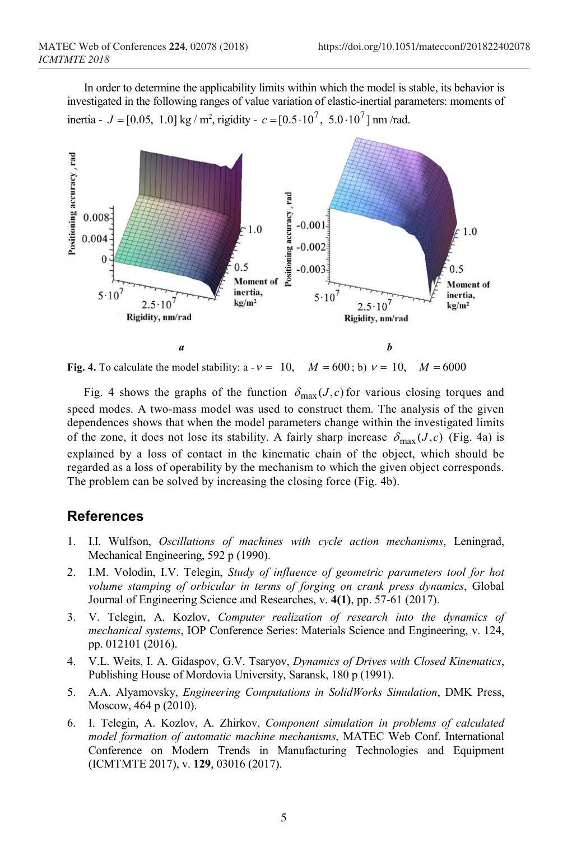In order to determine the applicability limits within which the model is stable, its behavior is investigated in the following ranges of value variation of elastic-inertial parameters: moments of inertia -  $J = [0.05, 1.0]$  kg / m<sup>2</sup>, rigidity -  $c = [0.5 \cdot 10^7, 5.0 \cdot 10^7]$  nm /rad.



**Fig. 4.** To calculate the model stability:  $a - v = 10$ ,  $M = 600$ ; b)  $v = 10$ ,  $M = 6000$ 

Fig. 4 shows the graphs of the function  $\delta_{\text{max}}(J,c)$  for various closing torques and speed modes. A two-mass model was used to construct them. The analysis of the given dependences shows that when the model parameters change within the investigated limits of the zone, it does not lose its stability. A fairly sharp increase  $\delta_{\text{max}}(J,c)$  (Fig. 4a) is explained by a loss of contact in the kinematic chain of the object, which should be regarded as a loss of operability by the mechanism to which the given object corresponds. The problem can be solved by increasing the closing force (Fig. 4b).

### **References**

- 1. I.I. Wulfson, *Oscillations of machines with cycle action mechanisms*, Leningrad, Mechanical Engineering, 592 p (1990).
- 2. I.M. Volodin, I.V. Telegin, *Study of influence of geometric parameters tool for hot volume stamping of orbicular in terms of forging on сrank press dynamics*, Global Journal of Engineering Science and Researches, v. **4(1)**, pp. 57-61 (2017).
- 3. V. Telegin, A. Kozlov, *Computer realization of research into the dynamics of mechanical systems*, IOP Conference Series: Materials Science and Engineering, v. 124, pp. 012101 (2016).
- 4. V.L. Weits, I. А. Gidaspov, G.V. Tsaryov, *Dynamics of Drives with Closed Kinematics*, Publishing House of Mordovia University, Saransk, 180 p (1991).
- 5. A.A. Alyamovsky, *Engineering Computations in SolidWorks Simulation*, DMK Press, Мoscow, 464 p (2010).
- 6. I. Telegin, A. Kozlov, A. Zhirkov, *Component simulation in problems of calculated model formation of automatic machine mechanisms*, MATEC Web Conf. International Conference on Modern Trends in Manufacturing Technologies and Equipment (ICMTMTE 2017), v. **129**, 03016 (2017).